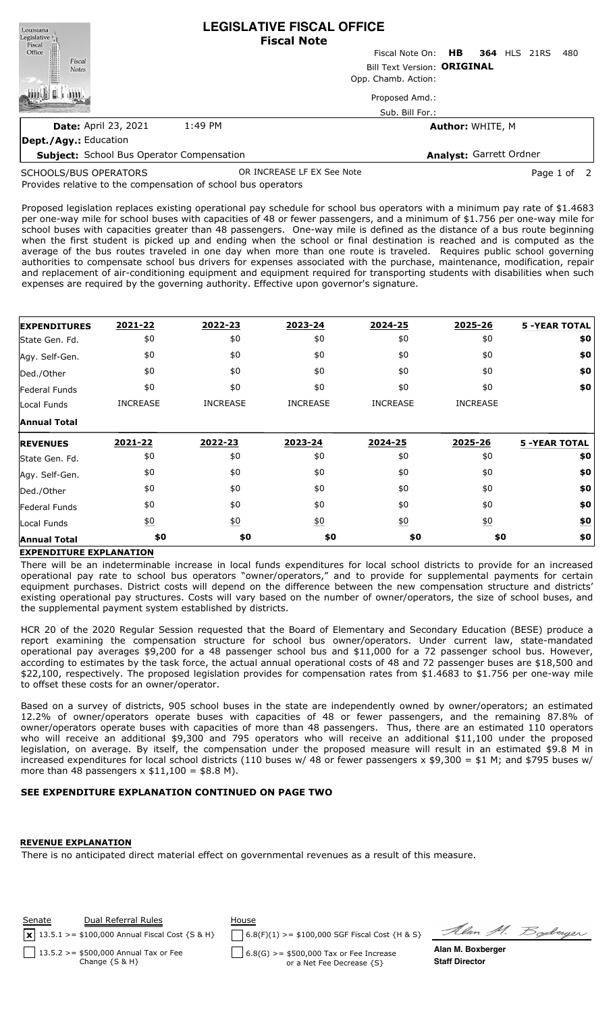| Louisiana<br>Legislative <sup>1</sup>            | <b>LEGISLATIVE FISCAL OFFICE</b><br><b>Fiscal Note</b> |  |                         |  |  |  |                     |     |
|--------------------------------------------------|--------------------------------------------------------|--|-------------------------|--|--|--|---------------------|-----|
| Fiscal<br>Office                                 |                                                        |  | Fiscal Note On: HB      |  |  |  | <b>364 HLS 21RS</b> | 480 |
| Fiscal<br>HI<br><b>Notes</b>                     | Bill Text Version: ORIGINAL                            |  |                         |  |  |  |                     |     |
|                                                  | Opp. Chamb. Action:                                    |  |                         |  |  |  |                     |     |
|                                                  |                                                        |  | Proposed Amd.:          |  |  |  |                     |     |
|                                                  |                                                        |  | Sub. Bill For.:         |  |  |  |                     |     |
| <b>Date: April 23, 2021</b>                      | 1:49 PM                                                |  | <b>Author: WHITE, M</b> |  |  |  |                     |     |
| Dept./Agy.: Education                            |                                                        |  |                         |  |  |  |                     |     |
| <b>Subject:</b> School Bus Operator Compensation |                                                        |  | Analyst: Garrett Ordner |  |  |  |                     |     |

SCHOOLS/BUS OPERATORS

Provides relative to the compensation of school bus operators OR INCREASE LF EX See Note **Page 1 of 2** 

Proposed legislation replaces existing operational pay schedule for school bus operators with a minimum pay rate of \$1.4683 per one-way mile for school buses with capacities of 48 or fewer passengers, and a minimum of \$1.756 per one-way mile for school buses with capacities greater than 48 passengers. One-way mile is defined as the distance of a bus route beginning when the first student is picked up and ending when the school or final destination is reached and is computed as the average of the bus routes traveled in one day when more than one route is traveled. Requires public school governing authorities to compensate school bus drivers for expenses associated with the purchase, maintenance, modification, repair and replacement of air-conditioning equipment and equipment required for transporting students with disabilities when such expenses are required by the governing authority. Effective upon governor's signature.

| <b>EXPENDITURES</b> | 2021-22          | 2022-23         | 2023-24          | 2024-25          | 2025-26           | <b>5 -YEAR TOTAL</b> |
|---------------------|------------------|-----------------|------------------|------------------|-------------------|----------------------|
| State Gen. Fd.      | \$0              | \$0             | \$0              | \$0              | \$0               | \$0                  |
| Agy. Self-Gen.      | \$0              | \$0             | \$0              | \$0              | \$0               | \$0                  |
| Ded./Other          | \$0              | \$0             | \$0              | \$0              | \$0               | \$0                  |
| Federal Funds       | \$0              | \$0             | \$0              | \$0              | \$0               | \$0                  |
| Local Funds         | <b>INCREASE</b>  | <b>INCREASE</b> | <b>INCREASE</b>  | <b>INCREASE</b>  | <b>INCREASE</b>   |                      |
| <b>Annual Total</b> |                  |                 |                  |                  |                   |                      |
| <b>REVENUES</b>     | 2021-22          | 2022-23         | 2023-24          | 2024-25          | 2025-26           | <b>5 -YEAR TOTAL</b> |
| State Gen. Fd.      | \$0              | \$0             | \$0              | \$0              | \$0               | \$0                  |
| Agy. Self-Gen.      | \$0              | \$0             | \$0              | \$0              | \$0               | \$0                  |
| Ded./Other          | \$0              | \$0             | \$0              | \$0              | \$0               | \$0                  |
| Federal Funds       | \$0              | \$0             | \$0              | \$0              | \$0               | \$0                  |
| Local Funds         | $\underline{50}$ | 60              | $\underline{50}$ | $\underline{50}$ | $\underline{\$0}$ | \$0                  |
|                     |                  |                 |                  |                  |                   |                      |

## **EXPENDITURE EXPLANATION**

There will be an indeterminable increase in local funds expenditures for local school districts to provide for an increased operational pay rate to school bus operators "owner/operators," and to provide for supplemental payments for certain equipment purchases. District costs will depend on the difference between the new compensation structure and districts' existing operational pay structures. Costs will vary based on the number of owner/operators, the size of school buses, and the supplemental payment system established by districts.

HCR 20 of the 2020 Regular Session requested that the Board of Elementary and Secondary Education (BESE) produce a report examining the compensation structure for school bus owner/operators. Under current law, state-mandated operational pay averages \$9,200 for a 48 passenger school bus and \$11,000 for a 72 passenger school bus. However, according to estimates by the task force, the actual annual operational costs of 48 and 72 passenger buses are \$18,500 and \$22,100, respectively. The proposed legislation provides for compensation rates from \$1.4683 to \$1.756 per one-way mile to offset these costs for an owner/operator.

Based on a survey of districts, 905 school buses in the state are independently owned by owner/operators; an estimated 12.2% of owner/operators operate buses with capacities of 48 or fewer passengers, and the remaining 87.8% of owner/operators operate buses with capacities of more than 48 passengers. Thus, there are an estimated 110 operators who will receive an additional \$9,300 and 795 operators who will receive an additional \$11,100 under the proposed legislation, on average. By itself, the compensation under the proposed measure will result in an estimated \$9.8 M in increased expenditures for local school districts (110 buses w/ 48 or fewer passengers x \$9,300 = \$1 M; and \$795 buses w/ more than 48 passengers  $x$  \$11,100 = \$8.8 M).

## **SEE EXPENDITURE EXPLANATION CONTINUED ON PAGE TWO**

## **REVENUE EXPLANATION**

There is no anticipated direct material effect on governmental revenues as a result of this measure.